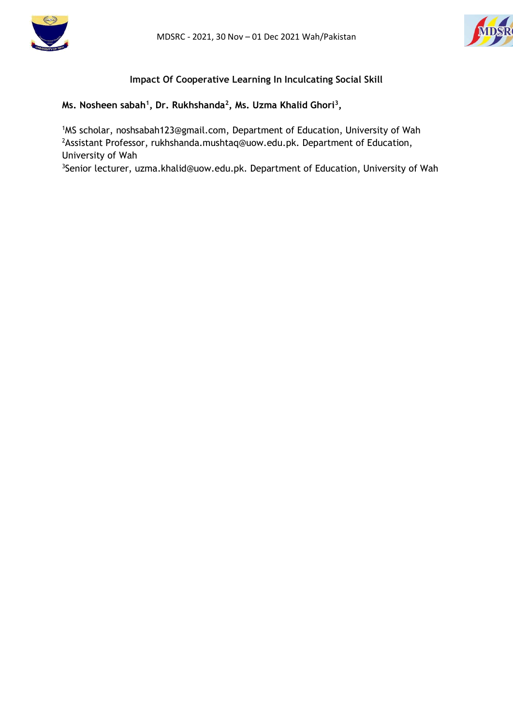



## **Impact Of Cooperative Learning In Inculcating Social Skill**

### **Ms. Nosheen sabah<sup>1</sup> , Dr. Rukhshanda<sup>2</sup> , Ms. Uzma Khalid Ghori<sup>3</sup> ,**

<sup>1</sup>MS scholar, noshsabah123@gmail.com, Department of Education, University of Wah <sup>2</sup>Assistant Professor, rukhshanda.mushtaq@uow.edu.pk. Department of Education, University of Wah

<sup>3</sup>Senior lecturer, uzma.khalid@uow.edu.pk. Department of Education, University of Wah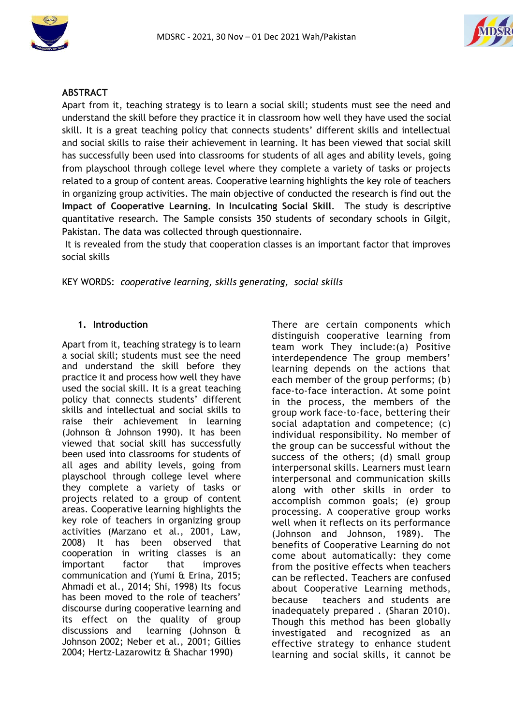



#### **ABSTRACT**

Apart from it, teaching strategy is to learn a social skill; students must see the need and understand the skill before they practice it in classroom how well they have used the social skill. It is a great teaching policy that connects students' different skills and intellectual and social skills to raise their achievement in learning. It has been viewed that social skill has successfully been used into classrooms for students of all ages and ability levels, going from playschool through college level where they complete a variety of tasks or projects related to a group of content areas. Cooperative learning highlights the key role of teachers in organizing group activities. The main objective of conducted the research is find out the **Impact of Cooperative Learning. In Inculcating Social Skill**. The study is descriptive quantitative research. The Sample consists 350 students of secondary schools in Gilgit, Pakistan. The data was collected through questionnaire.

It is revealed from the study that cooperation classes is an important factor that improves social skills

KEY WORDS: *cooperative learning, skills generating, social skills*

#### **1. Introduction**

Apart from it, teaching strategy is to learn a social skill; students must see the need and understand the skill before they practice it and process how well they have used the social skill. It is a great teaching policy that connects students' different skills and intellectual and social skills to raise their achievement in learning (Johnson & Johnson 1990). It has been viewed that social skill has successfully been used into classrooms for students of all ages and ability levels, going from playschool through college level where they complete a variety of tasks or projects related to a group of content areas. Cooperative learning highlights the key role of teachers in organizing group activities (Marzano et al., 2001, Law, 2008) It has been observed that cooperation in writing classes is an important factor that improves communication and (Yumi & Erina, 2015; Ahmadi et al., 2014; Shi, 1998) Its focus has been moved to the role of teachers' discourse during cooperative learning and its effect on the quality of group discussions and learning (Johnson & Johnson 2002; Neber et al., 2001; Gillies 2004; Hertz-Lazarowitz & Shachar 1990)

There are certain components which distinguish cooperative learning from team work They include:(a) Positive interdependence The group members' learning depends on the actions that each member of the group performs; (b) face-to-face interaction. At some point in the process, the members of the group work face-to-face, bettering their social adaptation and competence; (c) individual responsibility. No member of the group can be successful without the success of the others; (d) small group interpersonal skills. Learners must learn interpersonal and communication skills along with other skills in order to accomplish common goals; (e) group processing. A cooperative group works well when it reflects on its performance (Johnson and Johnson, 1989). The benefits of Cooperative Learning do not come about automatically: they come from the positive effects when teachers can be reflected. Teachers are confused about Cooperative Learning methods, because teachers and students are inadequately prepared . (Sharan 2010). Though this method has been globally investigated and recognized as an effective strategy to enhance student learning and social skills, it cannot be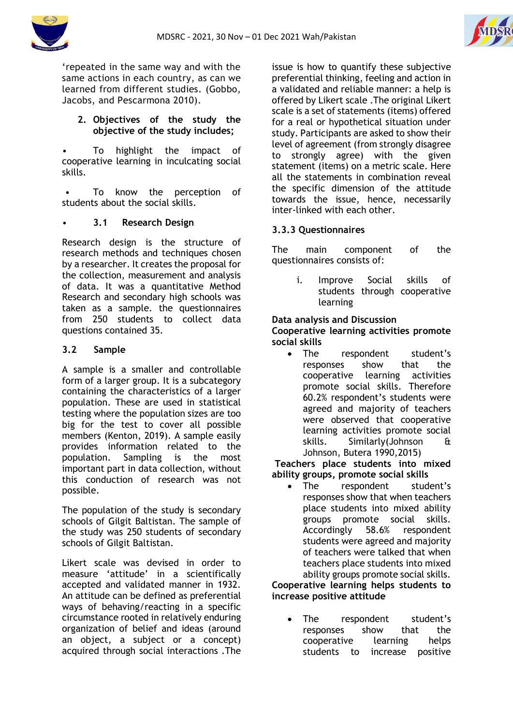

'repeated in the same way and with the same actions in each country, as can we learned from different studies. (Gobbo, Jacobs, and Pescarmona 2010).

### **2. Objectives of the study the objective of the study includes;**

• To highlight the impact of cooperative learning in inculcating social skills.

To know the perception of students about the social skills.

# • **3.1 Research Design**

Research design is the structure of research methods and techniques chosen by a researcher. It creates the proposal for the collection, measurement and analysis of data. It was a quantitative Method Research and secondary high schools was taken as a sample. the questionnaires from 250 students to collect data questions contained 35.

### **3.2 Sample**

A sample is a smaller and controllable form of a larger group. It is a subcategory containing the characteristics of a larger population. These are used in statistical testing where the population sizes are too big for the test to cover all possible members (Kenton, 2019). A sample easily provides information related to the population. Sampling is the most important part in data collection, without this conduction of research was not possible.

The population of the study is secondary schools of Gilgit Baltistan. The sample of the study was 250 students of secondary schools of Gilgit Baltistan.

Likert scale was devised in order to measure 'attitude' in a scientifically accepted and validated manner in 1932. An attitude can be defined as preferential ways of behaving/reacting in a specific circumstance rooted in relatively enduring organization of belief and ideas (around an object, a subject or a concept) acquired through social interactions .The

issue is how to quantify these subjective preferential thinking, feeling and action in a validated and reliable manner: a help is offered by Likert scale .The original Likert scale is a set of statements (items) offered for a real or hypothetical situation under study. Participants are asked to show their level of agreement (from strongly disagree to strongly agree) with the given statement (items) on a metric scale. Here all the statements in combination reveal the specific dimension of the attitude towards the issue, hence, necessarily inter-linked with each other.

# **3.3.3 Questionnaires**

The main component of the questionnaires consists of:

> i. Improve Social skills of students through cooperative learning

### **Data analysis and Discussion**

**Cooperative learning activities promote social skills**

 The respondent student's responses show that the cooperative learning activities promote social skills. Therefore 60.2% respondent's students were agreed and majority of teachers were observed that cooperative learning activities promote social skills. Similarly(Johnson & Johnson, Butera 1990,2015)

**Teachers place students into mixed ability groups, promote social skills**

• The respondent student's responses show that when teachers place students into mixed ability groups promote social skills.<br>Accordingly 58.6% respondent Accordingly 58.6% respondent students were agreed and majority of teachers were talked that when teachers place students into mixed ability groups promote social skills.

**Cooperative learning helps students to increase positive attitude**

 The respondent student's responses show that the cooperative learning helps students to increase positive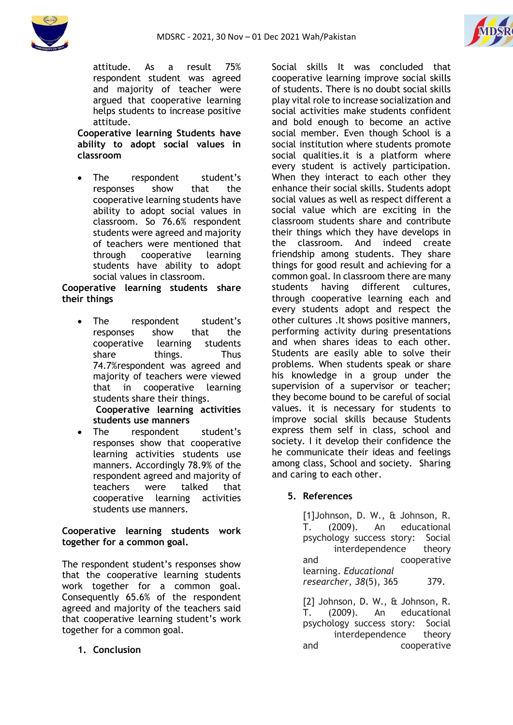



attitude. As a result 75% respondent student was agreed and majority of teacher were argued that cooperative learning helps students to increase positive attitude.

**Cooperative learning Students have ability to adopt social values in classroom**

 The respondent student's responses show that the cooperative learning students have ability to adopt social values in classroom. So 76.6% respondent students were agreed and majority of teachers were mentioned that through cooperative learning students have ability to adopt social values in classroom.

### **Cooperative learning students share their things**

 The respondent student's responses show that the cooperative learning students share things. Thus 74.7%respondent was agreed and majority of teachers were viewed that in cooperative learning students share their things. **Cooperative learning activities** 

**students use manners**

• The respondent student's responses show that cooperative learning activities students use manners. Accordingly 78.9% of the respondent agreed and majority of teachers were talked that cooperative learning activities students use manners.

# **Cooperative learning students work together for a common goal.**

The respondent student's responses show that the cooperative learning students work together for a common goal. Consequently 65.6% of the respondent agreed and majority of the teachers said that cooperative learning student's work together for a common goal.

**1. Conclusion**

Social skills It was concluded that cooperative learning improve social skills of students. There is no doubt social skills play vital role to increase socialization and social activities make students confident and bold enough to become an active social member. Even though School is a social institution where students promote social qualities.it is a platform where every student is actively participation. When they interact to each other they enhance their social skills. Students adopt social values as well as respect different a social value which are exciting in the classroom students share and contribute their things which they have develops in the classroom. And indeed create friendship among students. They share things for good result and achieving for a common goal. In classroom there are many students having different cultures, through cooperative learning each and every students adopt and respect the other cultures .It shows positive manners, performing activity during presentations and when shares ideas to each other. Students are easily able to solve their problems. When students speak or share his knowledge in a group under the supervision of a supervisor or teacher; they become bound to be careful of social values. it is necessary for students to improve social skills because Students express them self in class, school and society. I it develop their confidence the he communicate their ideas and feelings among class, School and society. Sharing and caring to each other.

# **5. References**

[1]Johnson, D. W., & Johnson, R. T. (2009). An educational psychology success story: Social interdependence theory and cooperative learning. *Educational researcher*, *38*(5), 365 379.

[2] Johnson, D. W., & Johnson, R. T. (2009). An educational psychology success story: Social interdependence theory and cooperative